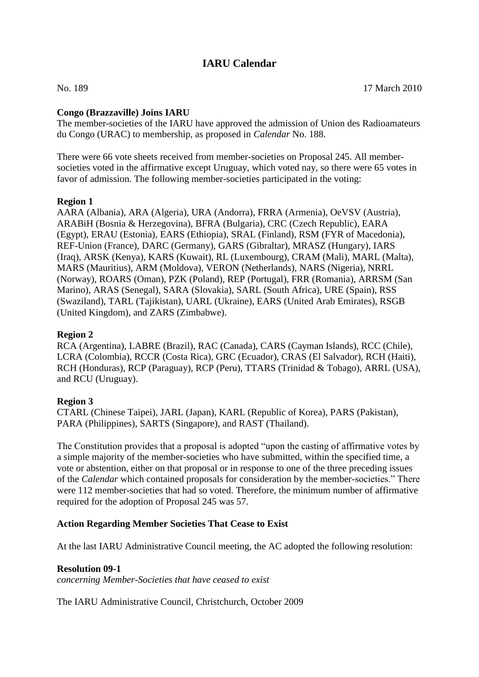# **IARU Calendar**

## **Congo (Brazzaville) Joins IARU**

The member-societies of the IARU have approved the admission of Union des Radioamateurs du Congo (URAC) to membership, as proposed in *Calendar* No. 188.

There were 66 vote sheets received from member-societies on Proposal 245. All membersocieties voted in the affirmative except Uruguay, which voted nay, so there were 65 votes in favor of admission. The following member-societies participated in the voting:

#### **Region 1**

AARA (Albania), ARA (Algeria), URA (Andorra), FRRA (Armenia), OeVSV (Austria), ARABiH (Bosnia & Herzegovina), BFRA (Bulgaria), CRC (Czech Republic), EARA (Egypt), ERAU (Estonia), EARS (Ethiopia), SRAL (Finland), RSM (FYR of Macedonia), REF-Union (France), DARC (Germany), GARS (Gibraltar), MRASZ (Hungary), IARS (Iraq), ARSK (Kenya), KARS (Kuwait), RL (Luxembourg), CRAM (Mali), MARL (Malta), MARS (Mauritius), ARM (Moldova), VERON (Netherlands), NARS (Nigeria), NRRL (Norway), ROARS (Oman), PZK (Poland), REP (Portugal), FRR (Romania), ARRSM (San Marino), ARAS (Senegal), SARA (Slovakia), SARL (South Africa), URE (Spain), RSS (Swaziland), TARL (Tajikistan), UARL (Ukraine), EARS (United Arab Emirates), RSGB (United Kingdom), and ZARS (Zimbabwe).

## **Region 2**

RCA (Argentina), LABRE (Brazil), RAC (Canada), CARS (Cayman Islands), RCC (Chile), LCRA (Colombia), RCCR (Costa Rica), GRC (Ecuador), CRAS (El Salvador), RCH (Haiti), RCH (Honduras), RCP (Paraguay), RCP (Peru), TTARS (Trinidad & Tobago), ARRL (USA), and RCU (Uruguay).

#### **Region 3**

CTARL (Chinese Taipei), JARL (Japan), KARL (Republic of Korea), PARS (Pakistan), PARA (Philippines), SARTS (Singapore), and RAST (Thailand).

The Constitution provides that a proposal is adopted "upon the casting of affirmative votes by a simple majority of the member-societies who have submitted, within the specified time, a vote or abstention, either on that proposal or in response to one of the three preceding issues of the *Calendar* which contained proposals for consideration by the member-societies." There were 112 member-societies that had so voted. Therefore, the minimum number of affirmative required for the adoption of Proposal 245 was 57.

## **Action Regarding Member Societies That Cease to Exist**

At the last IARU Administrative Council meeting, the AC adopted the following resolution:

**Resolution 09-1**

*concerning Member-Societies that have ceased to exist*

The IARU Administrative Council, Christchurch, October 2009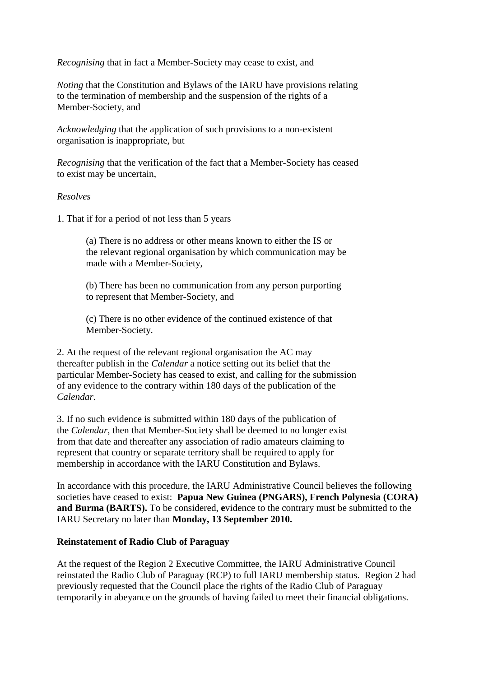*Recognising* that in fact a Member-Society may cease to exist, and

*Noting* that the Constitution and Bylaws of the IARU have provisions relating to the termination of membership and the suspension of the rights of a Member-Society, and

*Acknowledging* that the application of such provisions to a non-existent organisation is inappropriate, but

*Recognising* that the verification of the fact that a Member-Society has ceased to exist may be uncertain,

#### *Resolves*

1. That if for a period of not less than 5 years

 (a) There is no address or other means known to either the IS or the relevant regional organisation by which communication may be made with a Member-Society,

 (b) There has been no communication from any person purporting to represent that Member-Society, and

 (c) There is no other evidence of the continued existence of that Member-Society.

2. At the request of the relevant regional organisation the AC may thereafter publish in the *Calendar* a notice setting out its belief that the particular Member-Society has ceased to exist, and calling for the submission of any evidence to the contrary within 180 days of the publication of the *Calendar*.

3. If no such evidence is submitted within 180 days of the publication of the *Calendar*, then that Member-Society shall be deemed to no longer exist from that date and thereafter any association of radio amateurs claiming to represent that country or separate territory shall be required to apply for membership in accordance with the IARU Constitution and Bylaws.

In accordance with this procedure, the IARU Administrative Council believes the following societies have ceased to exist: **Papua New Guinea (PNGARS), French Polynesia (CORA) and Burma (BARTS).** To be considered, **e**vidence to the contrary must be submitted to the IARU Secretary no later than **Monday, 13 September 2010.**

#### **Reinstatement of Radio Club of Paraguay**

At the request of the Region 2 Executive Committee, the IARU Administrative Council reinstated the Radio Club of Paraguay (RCP) to full IARU membership status. Region 2 had previously requested that the Council place the rights of the Radio Club of Paraguay temporarily in abeyance on the grounds of having failed to meet their financial obligations.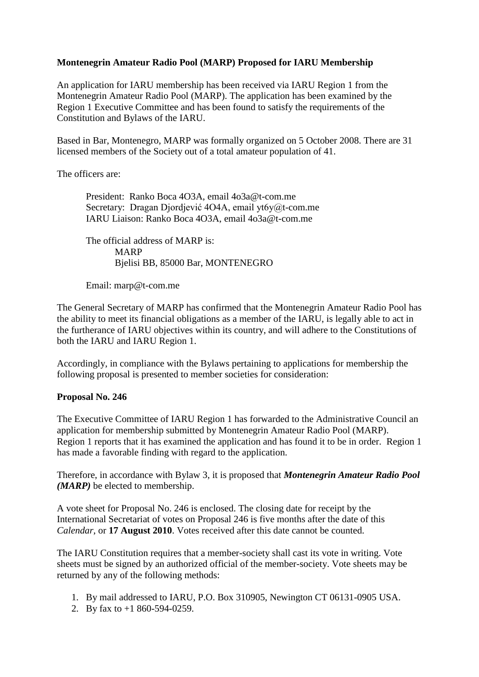# **Montenegrin Amateur Radio Pool (MARP) Proposed for IARU Membership**

An application for IARU membership has been received via IARU Region 1 from the Montenegrin Amateur Radio Pool (MARP). The application has been examined by the Region 1 Executive Committee and has been found to satisfy the requirements of the Constitution and Bylaws of the IARU.

Based in Bar, Montenegro, MARP was formally organized on 5 October 2008. There are 31 licensed members of the Society out of a total amateur population of 41.

The officers are:

 President: Ranko Boca 4O3A, email 4o3a@t-com.me Secretary: Dragan Djordjević 4O4A, email yt6y@t-com.me IARU Liaison: Ranko Boca 4O3A, email 4o3a@t-com.me

 The official address of MARP is: MARP Bjelisi BB, 85000 Bar, MONTENEGRO

Email: marp@t-com.me

The General Secretary of MARP has confirmed that the Montenegrin Amateur Radio Pool has the ability to meet its financial obligations as a member of the IARU, is legally able to act in the furtherance of IARU objectives within its country, and will adhere to the Constitutions of both the IARU and IARU Region 1.

Accordingly, in compliance with the Bylaws pertaining to applications for membership the following proposal is presented to member societies for consideration:

## **Proposal No. 246**

The Executive Committee of IARU Region 1 has forwarded to the Administrative Council an application for membership submitted by Montenegrin Amateur Radio Pool (MARP). Region 1 reports that it has examined the application and has found it to be in order. Region 1 has made a favorable finding with regard to the application.

Therefore, in accordance with Bylaw 3, it is proposed that *Montenegrin Amateur Radio Pool (MARP)* be elected to membership.

A vote sheet for Proposal No. 246 is enclosed. The closing date for receipt by the International Secretariat of votes on Proposal 246 is five months after the date of this *Calendar*, or **17 August 2010**. Votes received after this date cannot be counted.

The IARU Constitution requires that a member-society shall cast its vote in writing. Vote sheets must be signed by an authorized official of the member-society. Vote sheets may be returned by any of the following methods:

- 1. By mail addressed to IARU, P.O. Box 310905, Newington CT 06131-0905 USA.
- 2. By fax to +1 860-594-0259.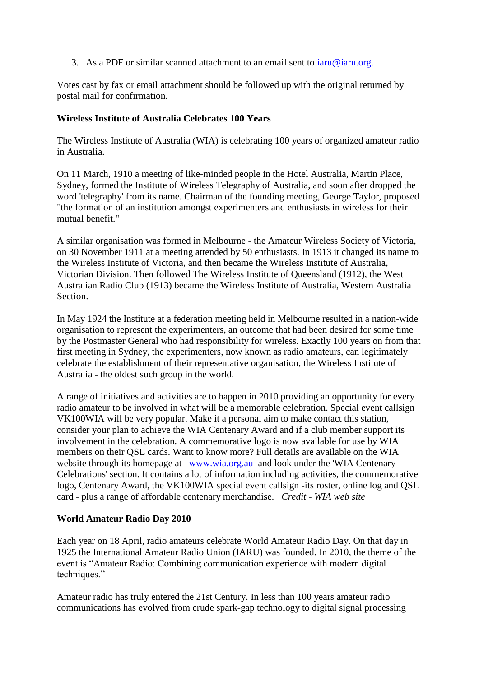3. As a PDF or similar scanned attachment to an email sent to  $iaru@iaru.org$ .

Votes cast by fax or email attachment should be followed up with the original returned by postal mail for confirmation.

#### **Wireless Institute of Australia Celebrates 100 Years**

The Wireless Institute of Australia (WIA) is celebrating 100 years of organized amateur radio in Australia.

On 11 March, 1910 a meeting of like-minded people in the Hotel Australia, Martin Place, Sydney, formed the Institute of Wireless Telegraphy of Australia, and soon after dropped the word 'telegraphy' from its name. Chairman of the founding meeting, George Taylor, proposed "the formation of an institution amongst experimenters and enthusiasts in wireless for their mutual benefit."

A similar organisation was formed in Melbourne - the Amateur Wireless Society of Victoria, on 30 November 1911 at a meeting attended by 50 enthusiasts. In 1913 it changed its name to the Wireless Institute of Victoria, and then became the Wireless Institute of Australia, Victorian Division. Then followed The Wireless Institute of Queensland (1912), the West Australian Radio Club (1913) became the Wireless Institute of Australia, Western Australia Section.

In May 1924 the Institute at a federation meeting held in Melbourne resulted in a nation-wide organisation to represent the experimenters, an outcome that had been desired for some time by the Postmaster General who had responsibility for wireless. Exactly 100 years on from that first meeting in Sydney, the experimenters, now known as radio amateurs, can legitimately celebrate the establishment of their representative organisation, the Wireless Institute of Australia - the oldest such group in the world.

A range of initiatives and activities are to happen in 2010 providing an opportunity for every radio amateur to be involved in what will be a memorable celebration. Special event callsign VK100WIA will be very popular. Make it a personal aim to make contact this station, consider your plan to achieve the WIA Centenary Award and if a club member support its involvement in the celebration. A commemorative logo is now available for use by WIA members on their QSL cards. Want to know more? Full details are available on the WIA website through its homepage at [www.wia.org.au](mailto:www.wia.org.au) and look under the 'WIA Centenary Celebrations' section. It contains a lot of information including activities, the commemorative logo, Centenary Award, the VK100WIA special event callsign -its roster, online log and QSL card - plus a range of affordable centenary merchandise. *Credit - WIA web site*

#### **World Amateur Radio Day 2010**

Each year on 18 April, radio amateurs celebrate World Amateur Radio Day. On that day in 1925 the International Amateur Radio Union (IARU) was founded. In 2010, the theme of the event is "Amateur Radio: Combining communication experience with modern digital techniques."

Amateur radio has truly entered the 21st Century. In less than 100 years amateur radio communications has evolved from crude spark-gap technology to digital signal processing